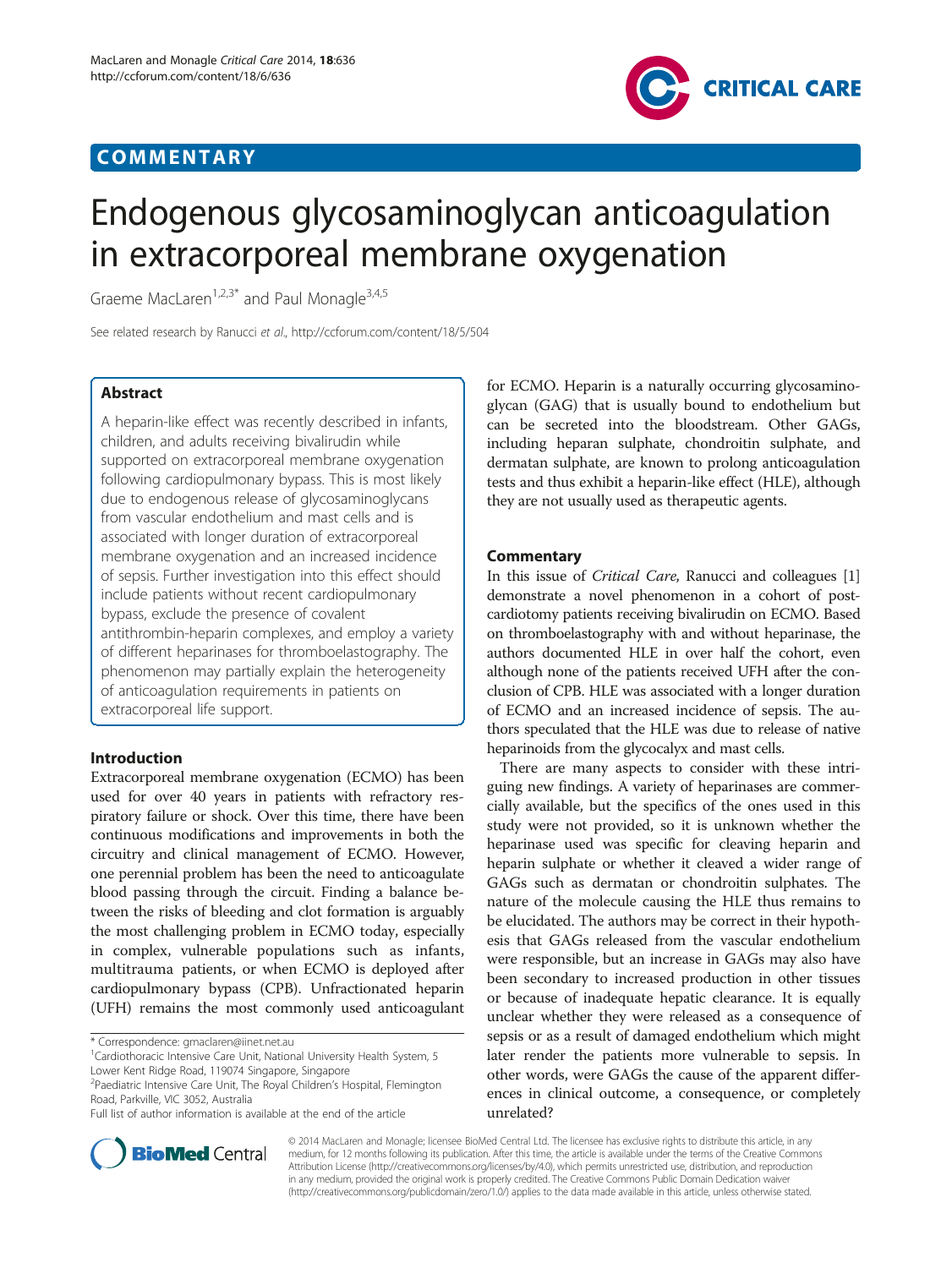# COMMENTARY



# Endogenous glycosaminoglycan anticoagulation in extracorporeal membrane oxygenation

Graeme MacLaren<sup>1,2,3\*</sup> and Paul Monagle<sup>3,4,5</sup>

See related research by Ranucci et al.,<http://ccforum.com/content/18/5/504>

# Abstract

A heparin-like effect was recently described in infants, children, and adults receiving bivalirudin while supported on extracorporeal membrane oxygenation following cardiopulmonary bypass. This is most likely due to endogenous release of glycosaminoglycans from vascular endothelium and mast cells and is associated with longer duration of extracorporeal membrane oxygenation and an increased incidence of sepsis. Further investigation into this effect should include patients without recent cardiopulmonary bypass, exclude the presence of covalent antithrombin-heparin complexes, and employ a variety of different heparinases for thromboelastography. The phenomenon may partially explain the heterogeneity of anticoagulation requirements in patients on extracorporeal life support.

## Introduction

Extracorporeal membrane oxygenation (ECMO) has been used for over 40 years in patients with refractory respiratory failure or shock. Over this time, there have been continuous modifications and improvements in both the circuitry and clinical management of ECMO. However, one perennial problem has been the need to anticoagulate blood passing through the circuit. Finding a balance between the risks of bleeding and clot formation is arguably the most challenging problem in ECMO today, especially in complex, vulnerable populations such as infants, multitrauma patients, or when ECMO is deployed after cardiopulmonary bypass (CPB). Unfractionated heparin (UFH) remains the most commonly used anticoagulant

Lower Kent Ridge Road, 119074 Singapore, Singapore <sup>2</sup> Paediatric Intensive Care Unit, The Royal Children's Hospital, Flemington for ECMO. Heparin is a naturally occurring glycosaminoglycan (GAG) that is usually bound to endothelium but can be secreted into the bloodstream. Other GAGs, including heparan sulphate, chondroitin sulphate, and dermatan sulphate, are known to prolong anticoagulation tests and thus exhibit a heparin-like effect (HLE), although they are not usually used as therapeutic agents.

# **Commentary**

In this issue of Critical Care, Ranucci and colleagues [[1](#page-1-0)] demonstrate a novel phenomenon in a cohort of postcardiotomy patients receiving bivalirudin on ECMO. Based on thromboelastography with and without heparinase, the authors documented HLE in over half the cohort, even although none of the patients received UFH after the conclusion of CPB. HLE was associated with a longer duration of ECMO and an increased incidence of sepsis. The authors speculated that the HLE was due to release of native heparinoids from the glycocalyx and mast cells.

There are many aspects to consider with these intriguing new findings. A variety of heparinases are commercially available, but the specifics of the ones used in this study were not provided, so it is unknown whether the heparinase used was specific for cleaving heparin and heparin sulphate or whether it cleaved a wider range of GAGs such as dermatan or chondroitin sulphates. The nature of the molecule causing the HLE thus remains to be elucidated. The authors may be correct in their hypothesis that GAGs released from the vascular endothelium were responsible, but an increase in GAGs may also have been secondary to increased production in other tissues or because of inadequate hepatic clearance. It is equally unclear whether they were released as a consequence of sepsis or as a result of damaged endothelium which might later render the patients more vulnerable to sepsis. In other words, were GAGs the cause of the apparent differences in clinical outcome, a consequence, or completely unrelated?



© 2014 MacLaren and Monagle; licensee BioMed Central Ltd. The licensee has exclusive rights to distribute this article, in any medium, for 12 months following its publication. After this time, the article is available under the terms of the Creative Commons Attribution License [\(http://creativecommons.org/licenses/by/4.0](http://creativecommons.org/licenses/by/4.0)), which permits unrestricted use, distribution, and reproduction in any medium, provided the original work is properly credited. The Creative Commons Public Domain Dedication waiver [\(http://creativecommons.org/publicdomain/zero/1.0/\)](http://creativecommons.org/publicdomain/zero/1.0/) applies to the data made available in this article, unless otherwise stated.

<sup>\*</sup> Correspondence: [gmaclaren@iinet.net.au](mailto:gmaclaren@iinet.net.au) <sup>1</sup>

<sup>&</sup>lt;sup>1</sup>Cardiothoracic Intensive Care Unit, National University Health System, 5

Road, Parkville, VIC 3052, Australia

Full list of author information is available at the end of the article